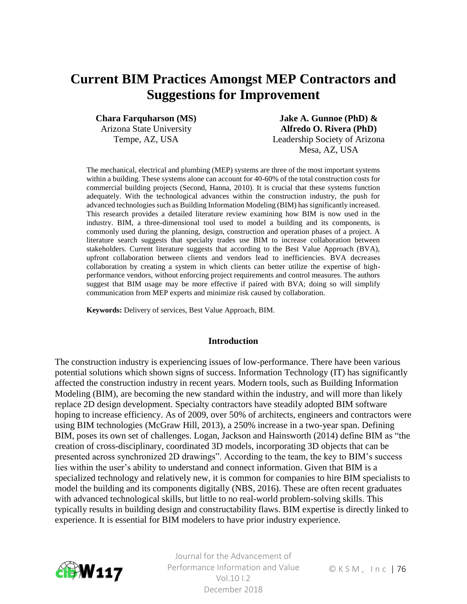# **Current BIM Practices Amongst MEP Contractors and Suggestions for Improvement**

**Chara Farquharson (MS)**

Arizona State University Tempe, AZ, USA

**Jake A. Gunnoe (PhD) & Alfredo O. Rivera (PhD)** Leadership Society of Arizona Mesa, AZ, USA

The mechanical, electrical and plumbing (MEP) systems are three of the most important systems within a building. These systems alone can account for 40-60% of the total construction costs for commercial building projects (Second, Hanna, 2010). It is crucial that these systems function adequately. With the technological advances within the construction industry, the push for advanced technologies such as Building Information Modeling (BIM) has significantly increased. This research provides a detailed literature review examining how BIM is now used in the industry. BIM, a three-dimensional tool used to model a building and its components, is commonly used during the planning, design, construction and operation phases of a project. A literature search suggests that specialty trades use BIM to increase collaboration between stakeholders. Current literature suggests that according to the Best Value Approach (BVA), upfront collaboration between clients and vendors lead to inefficiencies. BVA decreases collaboration by creating a system in which clients can better utilize the expertise of highperformance vendors, without enforcing project requirements and control measures. The authors suggest that BIM usage may be more effective if paired with BVA; doing so will simplify communication from MEP experts and minimize risk caused by collaboration.

**Keywords:** Delivery of services, Best Value Approach, BIM.

#### **Introduction**

The construction industry is experiencing issues of low-performance. There have been various potential solutions which shown signs of success. Information Technology (IT) has significantly affected the construction industry in recent years. Modern tools, such as Building Information Modeling (BIM), are becoming the new standard within the industry, and will more than likely replace 2D design development. Specialty contractors have steadily adopted BIM software hoping to increase efficiency. As of 2009, over 50% of architects, engineers and contractors were using BIM technologies (McGraw Hill, 2013), a 250% increase in a two-year span. Defining BIM, poses its own set of challenges. Logan, Jackson and Hainsworth (2014) define BIM as "the creation of cross-disciplinary, coordinated 3D models, incorporating 3D objects that can be presented across synchronized 2D drawings". According to the team, the key to BIM's success lies within the user's ability to understand and connect information. Given that BIM is a specialized technology and relatively new, it is common for companies to hire BIM specialists to model the building and its components digitally (NBS, 2016). These are often recent graduates with advanced technological skills, but little to no real-world problem-solving skills. This typically results in building design and constructability flaws. BIM expertise is directly linked to experience. It is essential for BIM modelers to have prior industry experience.



Journal for the Advancement of Performance Information and Value Vol. 10 | 2 December 2018

© K S M , I n c | 76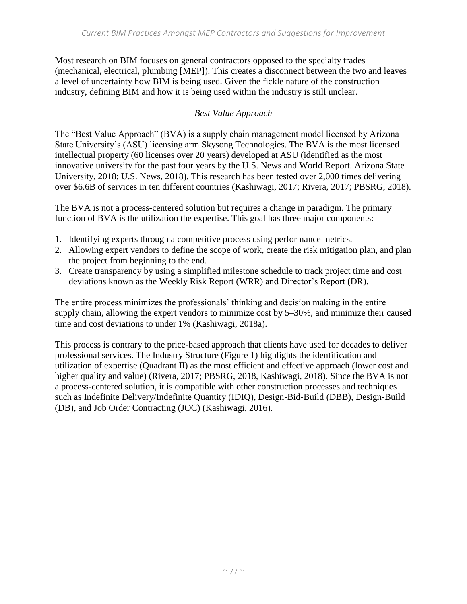Most research on BIM focuses on general contractors opposed to the specialty trades (mechanical, electrical, plumbing [MEP]). This creates a disconnect between the two and leaves a level of uncertainty how BIM is being used. Given the fickle nature of the construction industry, defining BIM and how it is being used within the industry is still unclear.

# *Best Value Approach*

The "Best Value Approach" (BVA) is a supply chain management model licensed by Arizona State University's (ASU) licensing arm Skysong Technologies. The BVA is the most licensed intellectual property (60 licenses over 20 years) developed at ASU (identified as the most innovative university for the past four years by the U.S. News and World Report. Arizona State University, 2018; U.S. News, 2018). This research has been tested over 2,000 times delivering over \$6.6B of services in ten different countries (Kashiwagi, 2017; Rivera, 2017; PBSRG, 2018).

The BVA is not a process-centered solution but requires a change in paradigm. The primary function of BVA is the utilization the expertise. This goal has three major components:

- 1. Identifying experts through a competitive process using performance metrics.
- 2. Allowing expert vendors to define the scope of work, create the risk mitigation plan, and plan the project from beginning to the end.
- 3. Create transparency by using a simplified milestone schedule to track project time and cost deviations known as the Weekly Risk Report (WRR) and Director's Report (DR).

The entire process minimizes the professionals' thinking and decision making in the entire supply chain, allowing the expert vendors to minimize cost by 5–30%, and minimize their caused time and cost deviations to under 1% (Kashiwagi, 2018a).

This process is contrary to the price-based approach that clients have used for decades to deliver professional services. The Industry Structure (Figure 1) highlights the identification and utilization of expertise (Quadrant II) as the most efficient and effective approach (lower cost and higher quality and value) (Rivera, 2017; PBSRG, 2018, Kashiwagi, 2018). Since the BVA is not a process-centered solution, it is compatible with other construction processes and techniques such as Indefinite Delivery/Indefinite Quantity (IDIQ), Design-Bid-Build (DBB), Design-Build (DB), and Job Order Contracting (JOC) (Kashiwagi, 2016).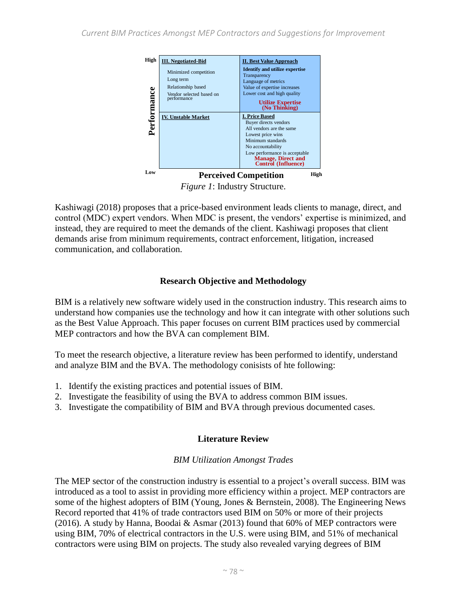

*Figure 1*: Industry Structure.

Kashiwagi (2018) proposes that a price-based environment leads clients to manage, direct, and control (MDC) expert vendors. When MDC is present, the vendors' expertise is minimized, and instead, they are required to meet the demands of the client. Kashiwagi proposes that client demands arise from minimum requirements, contract enforcement, litigation, increased communication, and collaboration.

## **Research Objective and Methodology**

BIM is a relatively new software widely used in the construction industry. This research aims to understand how companies use the technology and how it can integrate with other solutions such as the Best Value Approach. This paper focuses on current BIM practices used by commercial MEP contractors and how the BVA can complement BIM.

To meet the research objective, a literature review has been performed to identify, understand and analyze BIM and the BVA. The methodology conisists of hte following:

- 1. Identify the existing practices and potential issues of BIM.
- 2. Investigate the feasibility of using the BVA to address common BIM issues.
- 3. Investigate the compatibility of BIM and BVA through previous documented cases.

# **Literature Review**

#### *BIM Utilization Amongst Trades*

The MEP sector of the construction industry is essential to a project's overall success. BIM was introduced as a tool to assist in providing more efficiency within a project. MEP contractors are some of the highest adopters of BIM (Young, Jones & Bernstein, 2008). The Engineering News Record reported that 41% of trade contractors used BIM on 50% or more of their projects (2016). A study by Hanna, Boodai & Asmar (2013) found that 60% of MEP contractors were using BIM, 70% of electrical contractors in the U.S. were using BIM, and 51% of mechanical contractors were using BIM on projects. The study also revealed varying degrees of BIM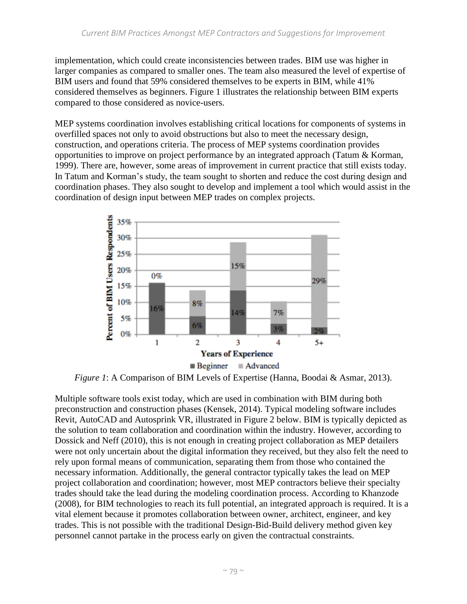implementation, which could create inconsistencies between trades. BIM use was higher in larger companies as compared to smaller ones. The team also measured the level of expertise of BIM users and found that 59% considered themselves to be experts in BIM, while 41% considered themselves as beginners. Figure 1 illustrates the relationship between BIM experts compared to those considered as novice-users.

MEP systems coordination involves establishing critical locations for components of systems in overfilled spaces not only to avoid obstructions but also to meet the necessary design, construction, and operations criteria. The process of MEP systems coordination provides opportunities to improve on project performance by an integrated approach (Tatum & Korman, 1999). There are, however, some areas of improvement in current practice that still exists today. In Tatum and Korman's study, the team sought to shorten and reduce the cost during design and coordination phases. They also sought to develop and implement a tool which would assist in the coordination of design input between MEP trades on complex projects.



*Figure 1*: A Comparison of BIM Levels of Expertise (Hanna, Boodai & Asmar, 2013).

Multiple software tools exist today, which are used in combination with BIM during both preconstruction and construction phases (Kensek, 2014). Typical modeling software includes Revit, AutoCAD and Autosprink VR, illustrated in Figure 2 below. BIM is typically depicted as the solution to team collaboration and coordination within the industry. However, according to Dossick and Neff (2010), this is not enough in creating project collaboration as MEP detailers were not only uncertain about the digital information they received, but they also felt the need to rely upon formal means of communication, separating them from those who contained the necessary information. Additionally, the general contractor typically takes the lead on MEP project collaboration and coordination; however, most MEP contractors believe their specialty trades should take the lead during the modeling coordination process. According to Khanzode (2008), for BIM technologies to reach its full potential, an integrated approach is required. It is a vital element because it promotes collaboration between owner, architect, engineer, and key trades. This is not possible with the traditional Design-Bid-Build delivery method given key personnel cannot partake in the process early on given the contractual constraints.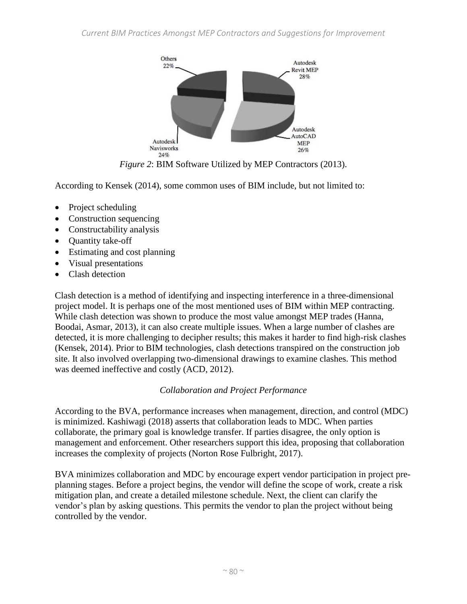

*Figure 2*: BIM Software Utilized by MEP Contractors (2013).

According to Kensek (2014), some common uses of BIM include, but not limited to:

- Project scheduling
- Construction sequencing
- Constructability analysis
- Quantity take-off
- Estimating and cost planning
- Visual presentations
- Clash detection

Clash detection is a method of identifying and inspecting interference in a three-dimensional project model. It is perhaps one of the most mentioned uses of BIM within MEP contracting. While clash detection was shown to produce the most value amongst MEP trades (Hanna, Boodai, Asmar, 2013), it can also create multiple issues. When a large number of clashes are detected, it is more challenging to decipher results; this makes it harder to find high-risk clashes (Kensek, 2014). Prior to BIM technologies, clash detections transpired on the construction job site. It also involved overlapping two-dimensional drawings to examine clashes. This method was deemed ineffective and costly (ACD, 2012).

# *Collaboration and Project Performance*

According to the BVA, performance increases when management, direction, and control (MDC) is minimized. Kashiwagi (2018) asserts that collaboration leads to MDC. When parties collaborate, the primary goal is knowledge transfer. If parties disagree, the only option is management and enforcement. Other researchers support this idea, proposing that collaboration increases the complexity of projects (Norton Rose Fulbright, 2017).

BVA minimizes collaboration and MDC by encourage expert vendor participation in project preplanning stages. Before a project begins, the vendor will define the scope of work, create a risk mitigation plan, and create a detailed milestone schedule. Next, the client can clarify the vendor's plan by asking questions. This permits the vendor to plan the project without being controlled by the vendor.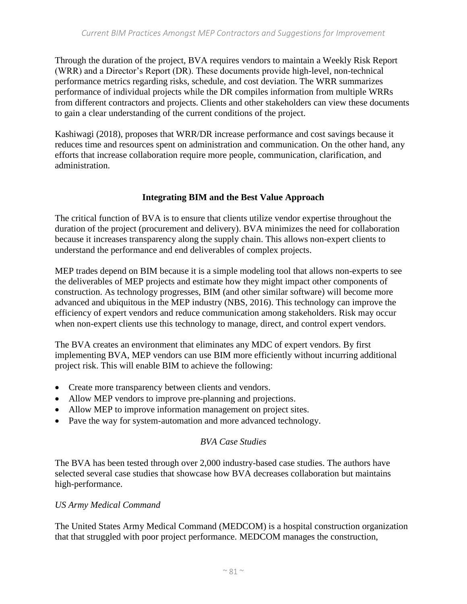Through the duration of the project, BVA requires vendors to maintain a Weekly Risk Report (WRR) and a Director's Report (DR). These documents provide high-level, non-technical performance metrics regarding risks, schedule, and cost deviation. The WRR summarizes performance of individual projects while the DR compiles information from multiple WRRs from different contractors and projects. Clients and other stakeholders can view these documents to gain a clear understanding of the current conditions of the project.

Kashiwagi (2018), proposes that WRR/DR increase performance and cost savings because it reduces time and resources spent on administration and communication. On the other hand, any efforts that increase collaboration require more people, communication, clarification, and administration.

#### **Integrating BIM and the Best Value Approach**

The critical function of BVA is to ensure that clients utilize vendor expertise throughout the duration of the project (procurement and delivery). BVA minimizes the need for collaboration because it increases transparency along the supply chain. This allows non-expert clients to understand the performance and end deliverables of complex projects.

MEP trades depend on BIM because it is a simple modeling tool that allows non-experts to see the deliverables of MEP projects and estimate how they might impact other components of construction. As technology progresses, BIM (and other similar software) will become more advanced and ubiquitous in the MEP industry (NBS, 2016). This technology can improve the efficiency of expert vendors and reduce communication among stakeholders. Risk may occur when non-expert clients use this technology to manage, direct, and control expert vendors.

The BVA creates an environment that eliminates any MDC of expert vendors. By first implementing BVA, MEP vendors can use BIM more efficiently without incurring additional project risk. This will enable BIM to achieve the following:

- Create more transparency between clients and vendors.
- Allow MEP vendors to improve pre-planning and projections.
- Allow MEP to improve information management on project sites.
- Pave the way for system-automation and more advanced technology.

#### *BVA Case Studies*

The BVA has been tested through over 2,000 industry-based case studies. The authors have selected several case studies that showcase how BVA decreases collaboration but maintains high-performance.

#### *US Army Medical Command*

The United States Army Medical Command (MEDCOM) is a hospital construction organization that that struggled with poor project performance. MEDCOM manages the construction,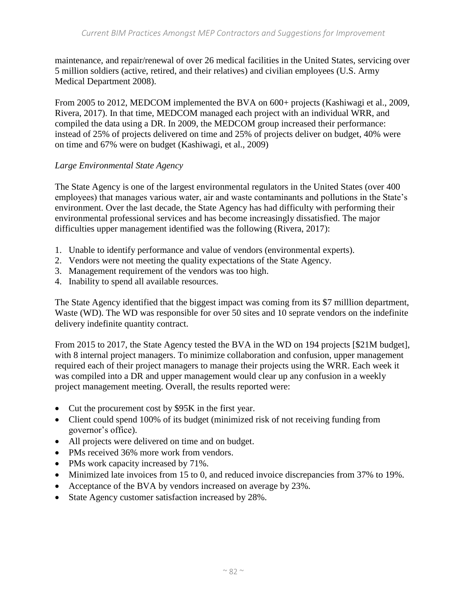maintenance, and repair/renewal of over 26 medical facilities in the United States, servicing over 5 million soldiers (active, retired, and their relatives) and civilian employees (U.S. Army Medical Department 2008).

From 2005 to 2012, MEDCOM implemented the BVA on 600+ projects (Kashiwagi et al., 2009, Rivera, 2017). In that time, MEDCOM managed each project with an individual WRR, and compiled the data using a DR. In 2009, the MEDCOM group increased their performance: instead of 25% of projects delivered on time and 25% of projects deliver on budget, 40% were on time and 67% were on budget (Kashiwagi, et al., 2009)

#### *Large Environmental State Agency*

The State Agency is one of the largest environmental regulators in the United States (over 400 employees) that manages various water, air and waste contaminants and pollutions in the State's environment. Over the last decade, the State Agency has had difficulty with performing their environmental professional services and has become increasingly dissatisfied. The major difficulties upper management identified was the following (Rivera, 2017):

- 1. Unable to identify performance and value of vendors (environmental experts).
- 2. Vendors were not meeting the quality expectations of the State Agency.
- 3. Management requirement of the vendors was too high.
- 4. Inability to spend all available resources.

The State Agency identified that the biggest impact was coming from its \$7 milllion department, Waste (WD). The WD was responsible for over 50 sites and 10 seprate vendors on the indefinite delivery indefinite quantity contract.

From 2015 to 2017, the State Agency tested the BVA in the WD on 194 projects [\$21M budget], with 8 internal project managers. To minimize collaboration and confusion, upper management required each of their project managers to manage their projects using the WRR. Each week it was compiled into a DR and upper management would clear up any confusion in a weekly project management meeting. Overall, the results reported were:

- Cut the procurement cost by \$95K in the first year.
- Client could spend 100% of its budget (minimized risk of not receiving funding from governor's office).
- All projects were delivered on time and on budget.
- PMs received 36% more work from vendors.
- PMs work capacity increased by 71%.
- Minimized late invoices from 15 to 0, and reduced invoice discrepancies from 37% to 19%.
- Acceptance of the BVA by vendors increased on average by 23%.
- State Agency customer satisfaction increased by 28%.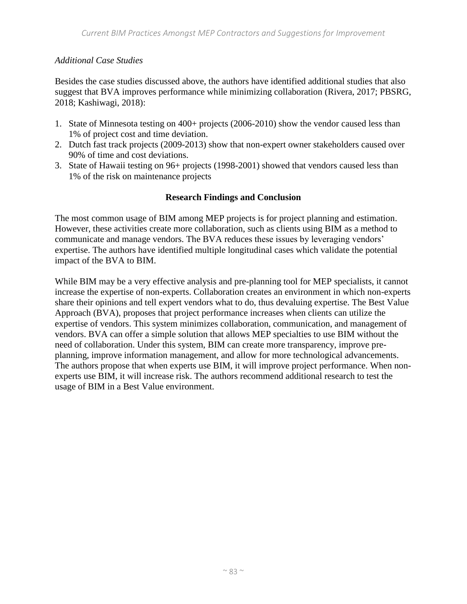# *Additional Case Studies*

Besides the case studies discussed above, the authors have identified additional studies that also suggest that BVA improves performance while minimizing collaboration (Rivera, 2017; PBSRG, 2018; Kashiwagi, 2018):

- 1. State of Minnesota testing on 400+ projects (2006-2010) show the vendor caused less than 1% of project cost and time deviation.
- 2. Dutch fast track projects (2009-2013) show that non-expert owner stakeholders caused over 90% of time and cost deviations.
- 3. State of Hawaii testing on 96+ projects (1998-2001) showed that vendors caused less than 1% of the risk on maintenance projects

## **Research Findings and Conclusion**

The most common usage of BIM among MEP projects is for project planning and estimation. However, these activities create more collaboration, such as clients using BIM as a method to communicate and manage vendors. The BVA reduces these issues by leveraging vendors' expertise. The authors have identified multiple longitudinal cases which validate the potential impact of the BVA to BIM.

While BIM may be a very effective analysis and pre-planning tool for MEP specialists, it cannot increase the expertise of non-experts. Collaboration creates an environment in which non-experts share their opinions and tell expert vendors what to do, thus devaluing expertise. The Best Value Approach (BVA), proposes that project performance increases when clients can utilize the expertise of vendors. This system minimizes collaboration, communication, and management of vendors. BVA can offer a simple solution that allows MEP specialties to use BIM without the need of collaboration. Under this system, BIM can create more transparency, improve preplanning, improve information management, and allow for more technological advancements. The authors propose that when experts use BIM, it will improve project performance. When nonexperts use BIM, it will increase risk. The authors recommend additional research to test the usage of BIM in a Best Value environment.